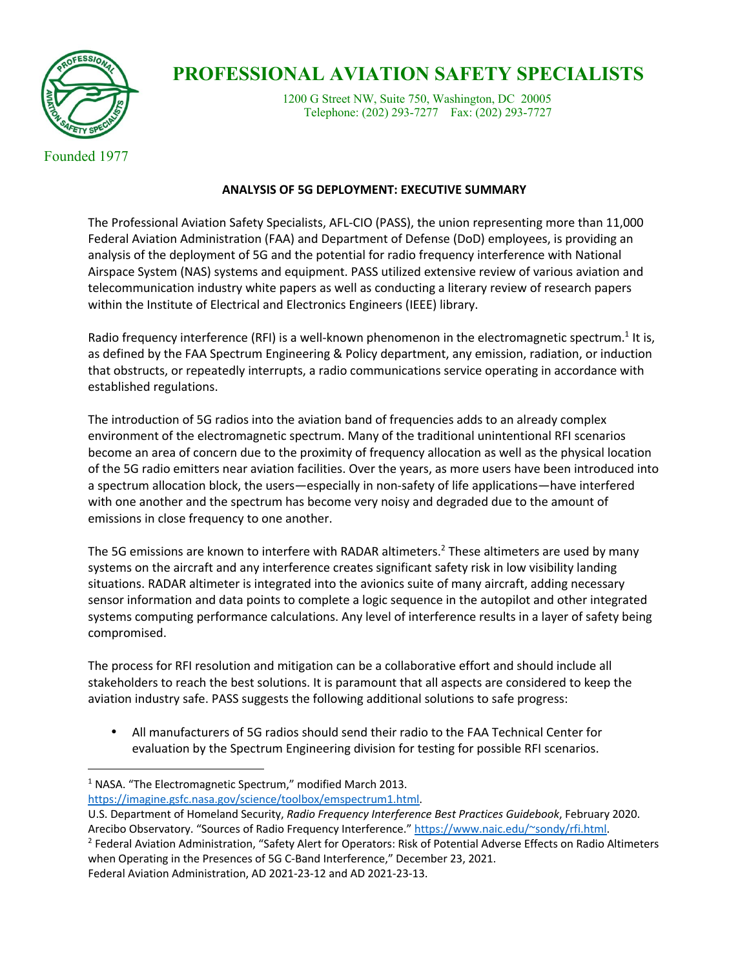

## **PROFESSIONAL AVIATION SAFETY SPECIALISTS**<br>1200 G Street NW, Suite 750, Washington, DC 20005

Telephone: (202) 293-7277 Fax: (202) 293-7727

Founded 1977

## **ANALYSIS OF 5G DEPLOYMENT: EXECUTIVE SUMMARY**

The Professional Aviation Safety Specialists, AFL-CIO (PASS), the union representing more than 11,000 Federal Aviation Administration (FAA) and Department of Defense (DoD) employees, is providing an analysis of the deployment of 5G and the potential for radio frequency interference with National Airspace System (NAS) systems and equipment. PASS utilized extensive review of various aviation and telecommunication industry white papers as well as conducting a literary review of research papers within the Institute of Electrical and Electronics Engineers (IEEE) library.

Radio frequency interference (RFI) is a well-known phenomenon in the electromagnetic spectrum.<sup>1</sup> It is, as defined by the FAA Spectrum Engineering & Policy department, any emission, radiation, or induction that obstructs, or repeatedly interrupts, a radio communications service operating in accordance with established regulations.

The introduction of 5G radios into the aviation band of frequencies adds to an already complex environment of the electromagnetic spectrum. Many of the traditional unintentional RFI scenarios become an area of concern due to the proximity of frequency allocation as well as the physical location of the 5G radio emitters near aviation facilities. Over the years, as more users have been introduced into a spectrum allocation block, the users—especially in non-safety of life applications—have interfered with one another and the spectrum has become very noisy and degraded due to the amount of emissions in close frequency to one another.

The 5G emissions are known to interfere with RADAR altimeters.<sup>2</sup> These altimeters are used by many systems on the aircraft and any interference creates significant safety risk in low visibility landing situations. RADAR altimeter is integrated into the avionics suite of many aircraft, adding necessary sensor information and data points to complete a logic sequence in the autopilot and other integrated systems computing performance calculations. Any level of interference results in a layer of safety being compromised.

The process for RFI resolution and mitigation can be a collaborative effort and should include all stakeholders to reach the best solutions. It is paramount that all aspects are considered to keep the aviation industry safe. PASS suggests the following additional solutions to safe progress:

• All manufacturers of 5G radios should send their radio to the FAA Technical Center for evaluation by the Spectrum Engineering division for testing for possible RFI scenarios.

<sup>&</sup>lt;sup>1</sup> NASA. "The Electromagnetic Spectrum," modified March 2013. https://imagine.gsfc.nasa.gov/science/toolbox/emspectrum1.html.

U.S. Department of Homeland Security, *Radio Frequency Interference Best Practices Guidebook*, February 2020.

Arecibo Observatory. "Sources of Radio Frequency Interference." https://www.naic.edu/~sondy/rfi.html. 2 Federal Aviation Administration, "Safety Alert for Operators: Risk of Potential Adverse Effects on Radio Altimeters when Operating in the Presences of 5G C-Band Interference," December 23, 2021. Federal Aviation Administration, AD 2021-23-12 and AD 2021-23-13.